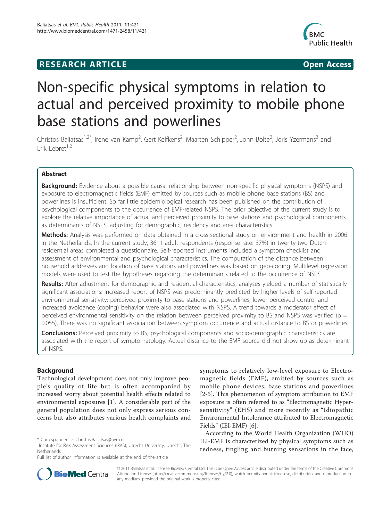# **RESEARCH ARTICLE Example 2018 12:00 Open Access**



# Non-specific physical symptoms in relation to actual and perceived proximity to mobile phone base stations and powerlines

Christos Baliatsas<sup>1,2\*</sup>, Irene van Kamp<sup>2</sup>, Gert Kelfkens<sup>2</sup>, Maarten Schipper<sup>2</sup>, John Bolte<sup>2</sup>, Joris Yzermans<sup>3</sup> and Frik Lebret<sup>1,2</sup>

# Abstract

**Background:** Evidence about a possible causal relationship between non-specific physical symptoms (NSPS) and exposure to electromagnetic fields (EMF) emitted by sources such as mobile phone base stations (BS) and powerlines is insufficient. So far little epidemiological research has been published on the contribution of psychological components to the occurrence of EMF-related NSPS. The prior objective of the current study is to explore the relative importance of actual and perceived proximity to base stations and psychological components as determinants of NSPS, adjusting for demographic, residency and area characteristics.

Methods: Analysis was performed on data obtained in a cross-sectional study on environment and health in 2006 in the Netherlands. In the current study, 3611 adult respondents (response rate: 37%) in twenty-two Dutch residential areas completed a questionnaire. Self-reported instruments included a symptom checklist and assessment of environmental and psychological characteristics. The computation of the distance between household addresses and location of base stations and powerlines was based on geo-coding. Multilevel regression models were used to test the hypotheses regarding the determinants related to the occurrence of NSPS.

Results: After adjustment for demographic and residential characteristics, analyses yielded a number of statistically significant associations: Increased report of NSPS was predominantly predicted by higher levels of self-reported environmental sensitivity; perceived proximity to base stations and powerlines, lower perceived control and increased avoidance (coping) behavior were also associated with NSPS. A trend towards a moderator effect of perceived environmental sensitivity on the relation between perceived proximity to BS and NSPS was verified ( $p =$ 0.055). There was no significant association between symptom occurrence and actual distance to BS or powerlines.

**Conclusions:** Perceived proximity to BS, psychological components and socio-demographic characteristics are associated with the report of symptomatology. Actual distance to the EMF source did not show up as determinant of NSPS.

# Background

Technological development does not only improve people's quality of life but is often accompanied by increased worry about potential health effects related to environmental exposures [\[1](#page-10-0)]. A considerable part of the general population does not only express serious concerns but also attributes various health complaints and



According to the World Health Organization (WHO) IEI-EMF is characterized by physical symptoms such as redness, tingling and burning sensations in the face,



© 2011 Baliatsas et al; licensee BioMed Central Ltd. This is an Open Access article distributed under the terms of the Creative Commons Attribution License [\(http://creativecommons.org/licenses/by/2.0](http://creativecommons.org/licenses/by/2.0)), which permits unrestricted use, distribution, and reproduction in any medium, provided the original work is properly cited.

<sup>\*</sup> Correspondence: [Christos.Baliatsas@rivm.nl](mailto:Christos.Baliatsas@rivm.nl)

<sup>&</sup>lt;sup>1</sup>Institute for Risk Assessment Sciences (IRAS), Utrecht University, Utrecht, The Netherlands

Full list of author information is available at the end of the article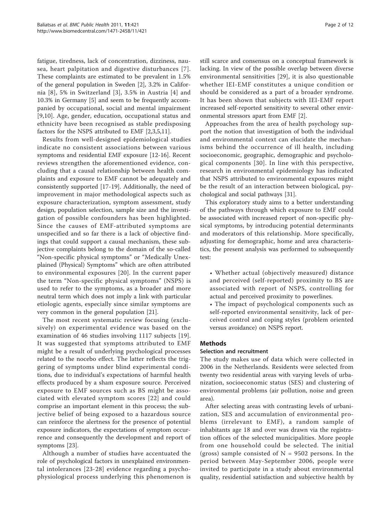fatigue, tiredness, lack of concentration, dizziness, nausea, heart palpitation and digestive disturbances [[7\]](#page-10-0). These complaints are estimated to be prevalent in 1.5% of the general population in Sweden [[2\]](#page-10-0), 3.2% in California [[8\]](#page-10-0), 5% in Switzerland [\[3\]](#page-10-0), 3.5% in Austria [[4](#page-10-0)] and 10.3% in Germany [[5\]](#page-10-0) and seem to be frequently accompanied by occupational, social and mental impairment [[9,10](#page-10-0)]. Age, gender, education, occupational status and ethnicity have been recognised as stable predisposing factors for the NSPS attributed to EMF [\[2,3,5,](#page-10-0)[11\]](#page-11-0).

Results from well-designed epidemiological studies indicate no consistent associations between various symptoms and residential EMF exposure [\[12-16](#page-11-0)]. Recent reviews strengthen the aforementioned evidence, concluding that a causal relationship between health complaints and exposure to EMF cannot be adequately and consistently supported [[17-19](#page-11-0)]. Additionally, the need of improvement in major methodological aspects such as exposure characterization, symptom assessment, study design, population selection, sample size and the investigation of possible confounders has been highlighted. Since the causes of EMF-attributed symptoms are unspecified and so far there is a lack of objective findings that could support a causal mechanism, these subjective complaints belong to the domain of the so-called "Non-specific physical symptoms" or "Medically Unexplained (Physical) Symptoms" which are often attributed to environmental exposures [[20](#page-11-0)]. In the current paper the term "Non-specific physical symptoms" (NSPS) is used to refer to the symptoms, as a broader and more neutral term which does not imply a link with particular etiologic agents, especially since similar symptoms are very common in the general population [\[21](#page-11-0)].

The most recent systematic review focusing (exclusively) on experimental evidence was based on the examination of 46 studies involving 1117 subjects [[19](#page-11-0)]. It was suggested that symptoms attributed to EMF might be a result of underlying psychological processes related to the nocebo effect. The latter reflects the triggering of symptoms under blind experimental conditions, due to individual's expectations of harmful health effects produced by a sham exposure source. Perceived exposure to EMF sources such as BS might be associated with elevated symptom scores [[22](#page-11-0)] and could comprise an important element in this process; the subjective belief of being exposed to a hazardous source can reinforce the alertness for the presence of potential exposure indicators, the expectations of symptom occurrence and consequently the development and report of symptoms [[23](#page-11-0)].

Although a number of studies have accentuated the role of psychological factors in unexplained environmental intolerances [[23](#page-11-0)-[28\]](#page-11-0) evidence regarding a psychophysiological process underlying this phenomenon is still scarce and consensus on a conceptual framework is lacking. In view of the possible overlap between diverse environmental sensitivities [[29\]](#page-11-0), it is also questionable whether IEI-EMF constitutes a unique condition or should be considered as a part of a broader syndrome. It has been shown that subjects with IEI-EMF report increased self-reported sensitivity to several other environmental stressors apart from EMF [[2\]](#page-10-0).

Approaches from the area of health psychology support the notion that investigation of both the individual and environmental context can elucidate the mechanisms behind the occurrence of ill health, including socioeconomic, geographic, demographic and psychological components [[30\]](#page-11-0). In line with this perspective, research in environmental epidemiology has indicated that NSPS attributed to environmental exposures might be the result of an interaction between biological, psychological and social pathways [[31](#page-11-0)].

This exploratory study aims to a better understanding of the pathways through which exposure to EMF could be associated with increased report of non-specific physical symptoms, by introducing potential determinants and moderators of this relationship. More specifically, adjusting for demographic, home and area characteristics, the present analysis was performed to subsequently test:

• Whether actual (objectively measured) distance and perceived (self-reported) proximity to BS are associated with report of NSPS, controlling for actual and perceived proximity to powerlines.

• The impact of psychological components such as self-reported environmental sensitivity, lack of perceived control and coping styles (problem oriented versus avoidance) on NSPS report.

# Methods

# Selection and recruitment

The study makes use of data which were collected in 2006 in the Netherlands. Residents were selected from twenty two residential areas with varying levels of urbanization, socioeconomic status (SES) and clustering of environmental problems (air pollution, noise and green area).

After selecting areas with contrasting levels of urbanization, SES and accumulation of environmental problems (irrelevant to EMF), a random sample of inhabitants age 18 and over was drawn via the registration offices of the selected municipalities. More people from one household could be selected. The initial (gross) sample consisted of  $N = 9502$  persons. In the period between May-September 2006, people were invited to participate in a study about environmental quality, residential satisfaction and subjective health by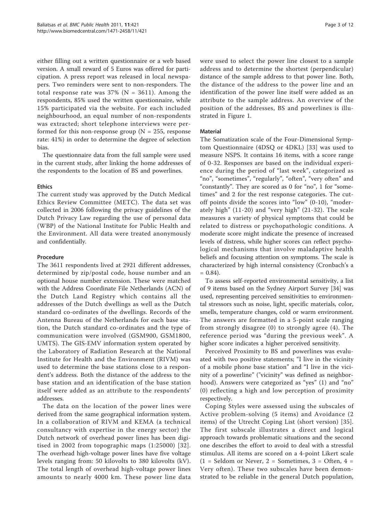either filling out a written questionnaire or a web based version. A small reward of 5 Euros was offered for participation. A press report was released in local newspapers. Two reminders were sent to non-responders. The total response rate was  $37\%$  (N = 3611). Among the respondents, 85% used the written questionnaire, while 15% participated via the website. For each included neighbourhood, an equal number of non-respondents was extracted; short telephone interviews were performed for this non-response group ( $N = 255$ , response rate: 41%) in order to determine the degree of selection bias.

The questionnaire data from the full sample were used in the current study, after linking the home addresses of the respondents to the location of BS and powerlines.

# **Ethics**

The current study was approved by the Dutch Medical Ethics Review Committee (METC). The data set was collected in 2006 following the privacy guidelines of the Dutch Privacy Law regarding the use of personal data (WBP) of the National Institute for Public Health and the Environment. All data were treated anonymously and confidentially.

#### Procedure

The 3611 respondents lived at 2921 different addresses, determined by zip/postal code, house number and an optional house number extension. These were matched with the Address Coordinate File Netherlands (ACN) of the Dutch Land Registry which contains all the addresses of the Dutch dwellings as well as the Dutch standard co-ordinates of the dwellings. Records of the Antenna Bureau of the Netherlands for each base station, the Dutch standard co-ordinates and the type of communication were involved (GSM900, GSM1800, UMTS). The GIS-EMV information system operated by the Laboratory of Radiation Research at the National Institute for Health and the Environment (RIVM) was used to determine the base stations close to a respondent's address. Both the distance of the address to the base station and an identification of the base station itself were added as an attribute to the respondents' addresses.

The data on the location of the power lines were derived from the same geographical information system. In a collaboration of RIVM and KEMA (a technical consultancy with expertise in the energy sector) the Dutch network of overhead power lines has been digitised in 2002 from topographic maps (1:25000) [\[32\]](#page-11-0). The overhead high-voltage power lines have five voltage levels ranging from: 50 kilovolts to 380 kilovolts (kV). The total length of overhead high-voltage power lines amounts to nearly 4000 km. These power line data were used to select the power line closest to a sample address and to determine the shortest (perpendicular) distance of the sample address to that power line. Both, the distance of the address to the power line and an identification of the power line itself were added as an attribute to the sample address. An overview of the position of the addresses, BS and powerlines is illustrated in Figure [1](#page-3-0).

#### Material

The Somatization scale of the Four-Dimensional Symptom Questionnaire (4DSQ or 4DKL) [\[33\]](#page-11-0) was used to measure NSPS. It contains 16 items, with a score range of 0-32. Responses are based on the individual experience during the period of "last week", categorized as "no", "sometimes", "regularly", "often", "very often" and "constantly". They are scored as 0 for "no", 1 for "sometimes" and 2 for the rest response categories. The cutoff points divide the scores into "low" (0-10), "moderately high" (11-20) and "very high" (21-32). The scale measures a variety of physical symptoms that could be related to distress or psychopathologic conditions. A moderate score might indicate the presence of increased levels of distress, while higher scores can reflect psychological mechanisms that involve maladaptive health beliefs and focusing attention on symptoms. The scale is characterized by high internal consistency (Cronbach's a  $= 0.84$ ).

To assess self-reported environmental sensitivity, a list of 9 items based on the Sydney Airport Survey [\[34\]](#page-11-0) was used, representing perceived sensitivities to environmental stressors such as noise, light, specific materials, color, smells, temperature changes, cold or warm environment. The answers are formatted in a 5-point scale ranging from strongly disagree (0) to strongly agree (4). The reference period was "during the previous week". A higher score indicates a higher perceived sensitivity.

Perceived Proximity to BS and powerlines was evaluated with two positive statements; "I live in the vicinity of a mobile phone base station" and "I live in the vicinity of a powerline" ("vicinity" was defined as neighborhood). Answers were categorized as "yes" (1) and "no" (0) reflecting a high and low perception of proximity respectively.

Coping Styles were assessed using the subscales of Active problem-solving (5 items) and Avoidance (2 items) of the Utrecht Coping List (short version) [[35](#page-11-0)]. The first subscale illustrates a direct and logical approach towards problematic situations and the second one describes the effort to avoid to deal with a stressful stimulus. All items are scored on a 4-point Likert scale  $(1 =$  Seldom or Never, 2 = Sometimes, 3 = Often, 4 = Very often). These two subscales have been demonstrated to be reliable in the general Dutch population,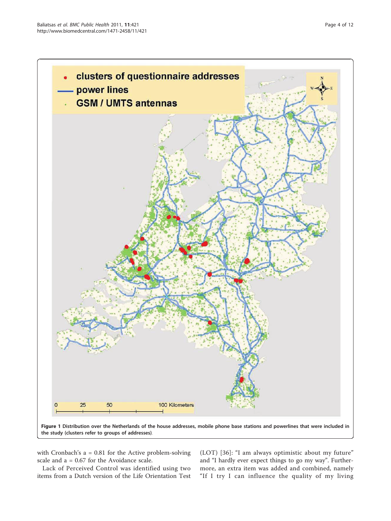<span id="page-3-0"></span>

with Cronbach's a = 0.81 for the Active problem-solving scale and a = 0.67 for the Avoidance scale.

Lack of Perceived Control was identified using two items from a Dutch version of the Life Orientation Test (LOT) [[36](#page-11-0)]: "I am always optimistic about my future" and "I hardly ever expect things to go my way". Furthermore, an extra item was added and combined, namely "If I try I can influence the quality of my living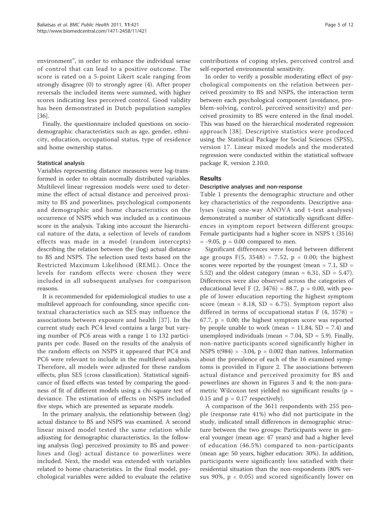environment", in order to enhance the individual sense of control that can lead to a positive outcome. The score is rated on a 5-point Likert scale ranging from strongly disagree (0) to strongly agree (4). After proper reversals the included items were summed, with higher scores indicating less perceived control. Good validity has been demonstrated in Dutch population samples [[36\]](#page-11-0).

Finally, the questionnaire included questions on sociodemographic characteristics such as age, gender, ethnicity, education, occupational status, type of residence and home ownership status.

# Statistical analysis

Variables representing distance measures were log-transformed in order to obtain normally distributed variables. Multilevel linear regression models were used to determine the effect of actual distance and perceived proximity to BS and powerlines, psychological components and demographic and home characteristics on the occurrence of NSPS which was included as a continuous score in the analysis. Taking into account the hierarchical nature of the data, a selection of levels of random effects was made in a model (random intercepts) describing the relation between the (log) actual distance to BS and NSPS. The selection used tests based on the Restricted Maximum Likelihood (REML). Once the levels for random effects were chosen they were included in all subsequent analyses for comparison reasons.

It is recommended for epidemiological studies to use a multilevel approach for confounding, since specific contextual characteristics such as SES may influence the associations between exposure and health [[37](#page-11-0)]. In the current study each PC4 level contains a large but varying number of PC6 areas with a range 1 to 132 participants per code. Based on the results of the analysis of the random effects on NSPS it appeared that PC4 and PC6 were relevant to include in the multilevel analysis. Therefore, all models were adjusted for these random effects, plus SES (cross classification). Statistical significance of fixed effects was tested by comparing the goodness of fit of different models using a chi-square test of deviance. The estimation of effects on NSPS included five steps, which are presented as separate models.

In the primary analysis, the relationship between (log) actual distance to BS and NSPS was examined. A second linear mixed model tested the same relation while adjusting for demographic characteristics. In the following analysis (log) perceived proximity to BS and powerlines and (log) actual distance to powerlines were included. Next, the model was extended with variables related to home characteristics. In the final model, psychological variables were added to evaluate the relative contributions of coping styles, perceived control and self-reported environmental sensitivity.

In order to verify a possible moderating effect of psychological components on the relation between perceived proximity to BS and NSPS, the interaction term between each psychological component (avoidance, problem-solving, control, perceived sensitivity) and perceived proximity to BS were entered in the final model. This was based on the hierarchical moderated regression approach [[38](#page-11-0)]. Descriptive statistics were produced using the Statistical Package for Social Sciences (SPSS), version 17. Linear mixed models and the moderated regression were conducted within the statistical software package R, version 2.10.0.

# Results

#### Descriptive analyses and non-response

Table [1](#page-5-0) presents the demographic structure and other key characteristics of the respondents. Descriptive analyses (using one-way ANOVA and t-test analyses) demonstrated a number of statistically significant differences in symptom report between different groups: Female participants had a higher score in NSPS t (3516)  $= -9.05$ ,  $p = 0.00$  compared to men.

Significant differences were found between different age groups  $F(5, 3548) = 7.52$ ,  $p = 0.00$ ; the highest scores were reported by the youngest (mean =  $7.1$ , SD = 5.52) and the oldest category (mean =  $6.31$ , SD =  $5.47$ ). Differences were also observed across the categories of educational level F  $(2, 3476) = 88.7$ , p = 0.00, with people of lower education reporting the highest symptom score (mean =  $8.18$ , SD =  $6.75$ ). Symptom report also differed in terms of occupational status  $F(4, 3578) =$ 67.7,  $p = 0.00$ ; the highest symptom score was reported by people unable to work (mean =  $11.84$ , SD = 7.4) and unemployed individuals (mean =  $7.04$ , SD =  $5.9$ ). Finally, non-native participants scored significantly higher in NSPS  $t(984) = -3.04$ ,  $p = 0.002$  than natives. Information about the prevalence of each of the 16 examined symptoms is provided in Figure [2](#page-6-0). The associations between actual distance and perceived proximity for BS and powerlines are shown in Figures [3](#page-7-0) and [4](#page-8-0); the non-parametric Wilcoxon test yielded no significant results ( $p =$  $0.15$  and  $p = 0.17$  respectively).

A comparison of the 3611 respondents with 255 people (response rate 41%) who did not participate in the study, indicated small differences in demographic structure between the two groups: Participants were in general younger (mean age: 47 years) and had a higher level of education (46.5%) compared to non-participants (mean age: 50 years, higher education: 30%). In addition, participants were significantly less satisfied with their residential situation than the non-respondents (80% versus 90%,  $p < 0.05$ ) and scored significantly lower on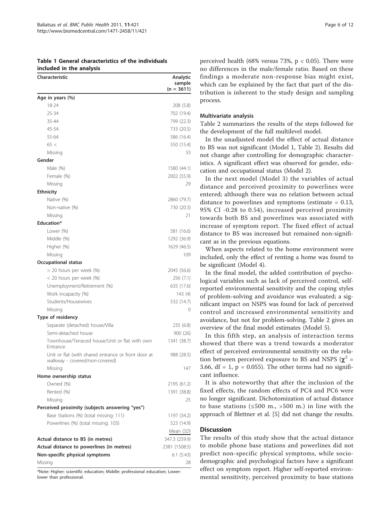<span id="page-5-0"></span>Table 1 General characteristics of the individuals included in the analysis

| Characteristic                                                                        | Analytic<br>sample<br>$(n = 3611)$ |
|---------------------------------------------------------------------------------------|------------------------------------|
| Age in years (%)                                                                      |                                    |
| $18 - 24$                                                                             | 208 (5.8)                          |
| $25 - 34$                                                                             | 702 (19.4)                         |
| 35-44                                                                                 | 799 (22.3)                         |
| 45-54                                                                                 | 733 (20.5)                         |
| 55-64                                                                                 | 586 (16.4)                         |
| 65 <                                                                                  | 550 (15.4)                         |
| Missing                                                                               | 33                                 |
| Gender                                                                                |                                    |
| Male (%)                                                                              | 1580 (44.1)                        |
| Female (%)                                                                            | 2002 (55.9)                        |
| Missing                                                                               | 29                                 |
| <b>Ethnicity</b>                                                                      |                                    |
| Native (%)                                                                            | 2860 (79.7)                        |
| Non-native (%)                                                                        | 730 (20.3)                         |
| Missing                                                                               | 21                                 |
| Education*                                                                            |                                    |
| Lower (%)                                                                             | 581 (16.6)                         |
| Middle (%)                                                                            | 1292 (36.9)                        |
| Higher (%)                                                                            | 1629 (46.5)                        |
| Missing                                                                               | 109                                |
| <b>Occupational status</b>                                                            |                                    |
| > 20 hours per week (%)                                                               | 2045 (56.6)                        |
| < 20 hours per week (%)                                                               | 256 (7.1)                          |
| Unemployment/Retirement (%)                                                           | 635 (17.6)                         |
| Work incapacity (%)                                                                   | 143 (4)                            |
| Students/Housewives                                                                   | 532 (14.7)                         |
| Missing                                                                               | 0                                  |
| Type of residency                                                                     |                                    |
| Separate (detached) house/Villa                                                       | 235 (6.8)                          |
| Semi-detached house                                                                   |                                    |
| Townhouse/Terraced house/Unit or flat with own                                        | 900 (26)<br>1341 (38.7)            |
| Entrance                                                                              |                                    |
| Unit or flat (with shared entrance or front door at<br>walkway - covered/non-covered) | 988 (28.5)                         |
| Missing                                                                               | 147                                |
| Home ownership status                                                                 |                                    |
| Owned (%)                                                                             | 2195 (61.2)                        |
| Rented (%)                                                                            | 1391 (38.8)                        |
| Missing                                                                               | 25                                 |
| Perceived proximity (subjects answering "yes")                                        |                                    |
| Base Stations (%) (total missing: 111)                                                | 1197 (34.2)                        |
| Powerlines (%) (total missing: 103)                                                   | 523 (14.9)                         |
|                                                                                       | Mean (SD)                          |
| Actual distance to BS (in metres)                                                     | 347.3 (259.9)                      |
| Actual distance to powerlines (in metres)                                             | 2381 (1508.5)                      |
| Non-specific physical symptoms                                                        | 6.1(5.43)                          |
| Missing                                                                               | 28                                 |

\*Note: Higher: scientific education; Middle: professional education; Lower: lower than professional.

perceived health (68% versus 73%,  $p < 0.05$ ). There were no differences in the male/female ratio. Based on these findings a moderate non-response bias might exist, which can be explained by the fact that part of the distribution is inherent to the study design and sampling process.

#### Multivariate analysis

Table [2](#page-9-0) summarizes the results of the steps followed for the development of the full multilevel model.

In the unadjusted model the effect of actual distance to BS was not significant (Model 1, Table [2\)](#page-9-0). Results did not change after controlling for demographic characteristics. A significant effect was observed for gender, education and occupational status (Model 2).

In the next model (Model 3) the variables of actual distance and perceived proximity to powerlines were entered; although there was no relation between actual distance to powerlines and symptoms (estimate = 0.13, 95% CI -0.28 to 0.54), increased perceived proximity towards both BS and powerlines was associated with increase of symptom report. The fixed effect of actual distance to BS was increased but remained non-significant as in the previous equations.

When aspects related to the home environment were included, only the effect of renting a home was found to be significant (Model 4).

In the final model, the added contribution of psychological variables such as lack of perceived control, selfreported environmental sensitivity and the coping styles of problem-solving and avoidance was evaluated; a significant impact on NSPS was found for lack of perceived control and increased environmental sensitivity and avoidance, but not for problem-solving. Table [2](#page-9-0) gives an overview of the final model estimates (Model 5).

In this fifth step, an analysis of interaction terms showed that there was a trend towards a moderator effect of perceived environmental sensitivity on the relation between perceived exposure to BS and NSPS ( $\chi^2$  = 3.66,  $df = 1$ ,  $p = 0.055$ ). The other terms had no significant influence.

It is also noteworthy that after the inclusion of the fixed effects, the random effects of PC4 and PC6 were no longer significant. Dichotomization of actual distance to base stations ( $\leq 500$  m.,  $>500$  m.) in line with the approach of Blettner et al. [\[5](#page-10-0)] did not change the results.

#### **Discussion**

The results of this study show that the actual distance to mobile phone base stations and powerlines did not predict non-specific physical symptoms, while sociodemographic and psychological factors have a significant effect on symptom report. Higher self-reported environmental sensitivity, perceived proximity to base stations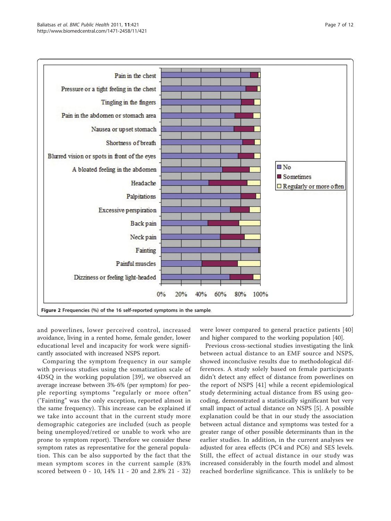<span id="page-6-0"></span>

and powerlines, lower perceived control, increased avoidance, living in a rented home, female gender, lower educational level and incapacity for work were significantly associated with increased NSPS report.

Comparing the symptom frequency in our sample with previous studies using the somatization scale of 4DSQ in the working population [[39](#page-11-0)], we observed an average increase between 3%-6% (per symptom) for people reporting symptoms "regularly or more often" ("Fainting" was the only exception, reported almost in the same frequency). This increase can be explained if we take into account that in the current study more demographic categories are included (such as people being unemployed/retired or unable to work who are prone to symptom report). Therefore we consider these symptom rates as representative for the general population. This can be also supported by the fact that the mean symptom scores in the current sample (83% scored between 0 - 10, 14% 11 - 20 and 2.8% 21 - 32)

were lower compared to general practice patients [[40](#page-11-0)] and higher compared to the working population [[40](#page-11-0)].

Previous cross-sectional studies investigating the link between actual distance to an EMF source and NSPS, showed inconclusive results due to methodological differences. A study solely based on female participants didn't detect any effect of distance from powerlines on the report of NSPS [[41\]](#page-11-0) while a recent epidemiological study determining actual distance from BS using geocoding, demonstrated a statistically significant but very small impact of actual distance on NSPS [[5\]](#page-10-0). A possible explanation could be that in our study the association between actual distance and symptoms was tested for a greater range of other possible determinants than in the earlier studies. In addition, in the current analyses we adjusted for area effects (PC4 and PC6) and SES levels. Still, the effect of actual distance in our study was increased considerably in the fourth model and almost reached borderline significance. This is unlikely to be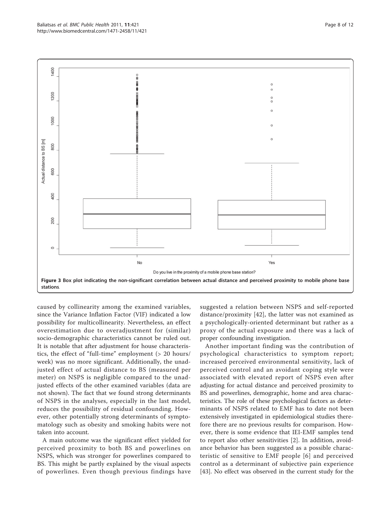<span id="page-7-0"></span>

caused by collinearity among the examined variables, since the Variance Inflation Factor (VIF) indicated a low possibility for multicollinearity. Nevertheless, an effect overestimation due to overadjustment for (similar) socio-demographic characteristics cannot be ruled out. It is notable that after adjustment for house characteristics, the effect of "full-time" employment (> 20 hours/ week) was no more significant. Additionally, the unadjusted effect of actual distance to BS (measured per meter) on NSPS is negligible compared to the unadjusted effects of the other examined variables (data are not shown). The fact that we found strong determinants of NSPS in the analyses, especially in the last model, reduces the possibility of residual confounding. However, other potentially strong determinants of symptomatology such as obesity and smoking habits were not taken into account.

A main outcome was the significant effect yielded for perceived proximity to both BS and powerlines on NSPS, which was stronger for powerlines compared to BS. This might be partly explained by the visual aspects of powerlines. Even though previous findings have

suggested a relation between NSPS and self-reported distance/proximity [[42\]](#page-11-0), the latter was not examined as a psychologically-oriented determinant but rather as a proxy of the actual exposure and there was a lack of proper confounding investigation.

Another important finding was the contribution of psychological characteristics to symptom report; increased perceived environmental sensitivity, lack of perceived control and an avoidant coping style were associated with elevated report of NSPS even after adjusting for actual distance and perceived proximity to BS and powerlines, demographic, home and area characteristics. The role of these psychological factors as determinants of NSPS related to EMF has to date not been extensively investigated in epidemiological studies therefore there are no previous results for comparison. However, there is some evidence that IEI-EMF samples tend to report also other sensitivities [[2](#page-10-0)]. In addition, avoidance behavior has been suggested as a possible characteristic of sensitive to EMF people [[6](#page-10-0)] and perceived control as a determinant of subjective pain experience [[43\]](#page-11-0). No effect was observed in the current study for the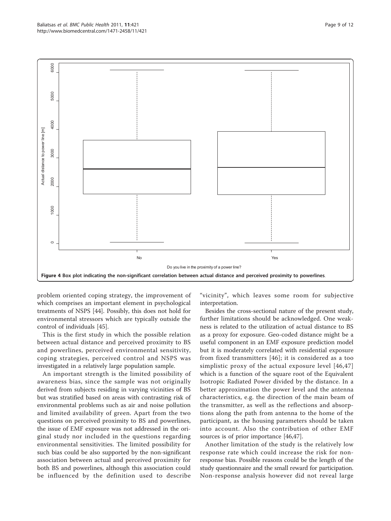<span id="page-8-0"></span>

problem oriented coping strategy, the improvement of which comprises an important element in psychological treatments of NSPS [\[44\]](#page-11-0). Possibly, this does not hold for environmental stressors which are typically outside the control of individuals [[45](#page-11-0)].

This is the first study in which the possible relation between actual distance and perceived proximity to BS and powerlines, perceived environmental sensitivity, coping strategies, perceived control and NSPS was investigated in a relatively large population sample.

An important strength is the limited possibility of awareness bias, since the sample was not originally derived from subjects residing in varying vicinities of BS but was stratified based on areas with contrasting risk of environmental problems such as air and noise pollution and limited availability of green. Apart from the two questions on perceived proximity to BS and powerlines, the issue of EMF exposure was not addressed in the original study nor included in the questions regarding environmental sensitivities. The limited possibility for such bias could be also supported by the non-significant association between actual and perceived proximity for both BS and powerlines, although this association could be influenced by the definition used to describe

"vicinity", which leaves some room for subjective interpretation.

Besides the cross-sectional nature of the present study, further limitations should be acknowledged. One weakness is related to the utilization of actual distance to BS as a proxy for exposure. Geo-coded distance might be a useful component in an EMF exposure prediction model but it is moderately correlated with residential exposure from fixed transmitters [[46](#page-11-0)]; it is considered as a too simplistic proxy of the actual exposure level [[46](#page-11-0),[47](#page-11-0)] which is a function of the square root of the Equivalent Isotropic Radiated Power divided by the distance. In a better approximation the power level and the antenna characteristics, e.g. the direction of the main beam of the transmitter, as well as the reflections and absorptions along the path from antenna to the home of the participant, as the housing parameters should be taken into account. Also the contribution of other EMF sources is of prior importance [\[46,47\]](#page-11-0).

Another limitation of the study is the relatively low response rate which could increase the risk for nonresponse bias. Possible reasons could be the length of the study questionnaire and the small reward for participation. Non-response analysis however did not reveal large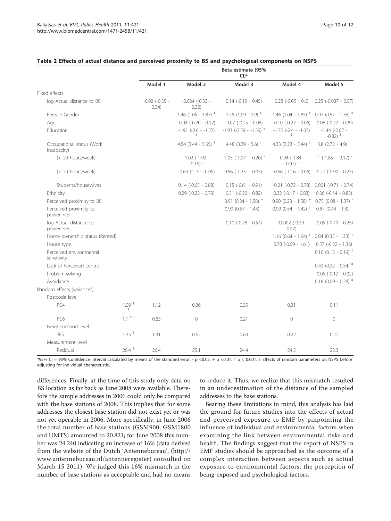|                                          |                     | Beta estimate (95%<br>$CI)*$ |                                                  |                                                     |                                                  |                                                                                                 |  |
|------------------------------------------|---------------------|------------------------------|--------------------------------------------------|-----------------------------------------------------|--------------------------------------------------|-------------------------------------------------------------------------------------------------|--|
|                                          |                     | Model 1                      | Model 2                                          | Model 3                                             | Model 4                                          | Model 5                                                                                         |  |
| Fixed effects                            |                     |                              |                                                  |                                                     |                                                  |                                                                                                 |  |
| log Actual distance to BS                |                     | $-0.02$ $(-0.35 -$<br>0.34)  | $-0.004$ $(-0.33 -$<br>0.32)                     | $0.14$ ( $-0.19 - 0.45$ )                           | $0.28$ (-0.05 - 0.6)                             | $0.25$ (-0.037 - 0.57)                                                                          |  |
| Female Gender                            |                     |                              | $1.46$ (1.05 - 1.87) <sup><math>\pm</math></sup> | $1.48$ (1.09 - 1.9) <sup><math>\pm</math></sup>     |                                                  | $1.46$ (1.04 - 1.85) <sup><math>\pm</math></sup> 0.97 (0.57 - 1.36) <sup><math>\pm</math></sup> |  |
| Age                                      |                     |                              | $-0.04$ $(-0.20 - 0.12)$                         | $-0.07$ $(-0.25 - 0.08)$                            |                                                  | $-0.10$ $(-0.27 - 0.06)$ $-0.06$ $(-0.22 - 0.09)$                                               |  |
| Education                                |                     |                              | $-1.91$ $(-2.6 - 1.27)$                          | $-1.93$ (-2.59 - -1.29) <sup><math>\pm</math></sup> | $-1.76$ $(-2.4 - 1.05)$                          | $-1.44$ (-2.07 -<br>$-0.82$ <sup>+</sup>                                                        |  |
| Occupational status (Work<br>Incapacity) |                     |                              | 4.54 (3.44 - 5.65) $†$                           | 4.48 $(3.39 - 5.6)^+$                               | 4.33 $(3.23 - 5.44)^+$                           | 3.8 $(2.72 - 4.9)^*$                                                                            |  |
| (< 20 hours/week)                        |                     |                              | $-1.02$ ( $-1.93$ -<br>$-0.16$ ) $-$             | $-1.05$ ( $-1.97 - 0.20$ )                          | $-0.94$ ( $-1.84$ -<br>$-0.07$ )                 | $-1$ ( $-1.85 - -0.17$ )                                                                        |  |
| (> 20 hours/week)                        |                     |                              | $-0.69$ $(-1.3 - 0.09)$                          | $-0.66$ $(-1.25 - 0.05)$                            |                                                  | $-0.56$ ( $-1.16 - 0.06$ ) $-0.27$ ( $-0.90 - 0.27$ )                                           |  |
| Students/housewives                      |                     |                              | $0.14$ ( $-0.65 - 0.88$ )                        | $0.15$ ( $-0.61 - 0.91$ )                           | $-0.01$ $(-0.72 - 0.78)$                         | $0.001 (-0.71 - 0.74)$                                                                          |  |
| Ethnicity                                |                     |                              | $0.29$ ( $-0.22 - 0.79$ )                        | $0.31$ $(-0.20 - 0.82)$                             | $0.32$ ( $-0.17 - 0.83$ )                        | $0.36$ $(-0.14 - 0.83)$                                                                         |  |
| Perceived proximity to BS                |                     |                              |                                                  | $0.91$ (0.24 - 1.58) <sup>+</sup>                   | $0.90$ (0.23 - 1.58) <sup>+</sup>                | $0.75$ (0.08 - 1.37) $^{-}$                                                                     |  |
| Perceived proximity to<br>powerlines     |                     |                              |                                                  | $0.99$ (0.57 - 1.44) <sup><math>\pm</math></sup>    | $0.99(0.54 - 1.42)^{+}$                          | $0.87$ (0.44 - 1.3) <sup><math>\pm</math></sup>                                                 |  |
| log Actual distance to<br>powerlines     |                     |                              |                                                  | $0.10$ ( $-0.28 - 0.54$ )                           | $-0.0002$ ( $-0.39$ -<br>(0.42)                  | $-0.05$ $(-0.40 - 0.25)$                                                                        |  |
| Home ownership status (Rented)           |                     |                              |                                                  |                                                     | $1.16$ (0.64 - 1.64) <sup><math>\pm</math></sup> | $0.84$ (0.35 - 1.33) <sup>+</sup>                                                               |  |
| House type                               |                     |                              |                                                  |                                                     | $0.78$ $(-0.09 - 1.61)$                          | $0.57$ (-0.22 - 1.38)                                                                           |  |
| Perceived environmental<br>sensitivity   |                     |                              |                                                  |                                                     |                                                  | $0.16$ (0.13 - 0.19) <sup><math>+</math></sup>                                                  |  |
| Lack of Perceived control                |                     |                              |                                                  |                                                     |                                                  | $0.43$ (0.32 - 0.54) <sup><math>\pm</math></sup>                                                |  |
| Problem-solving                          |                     |                              |                                                  |                                                     |                                                  | $-0.05$ $(-0.12 - 0.02)$                                                                        |  |
| Avoidance                                |                     |                              |                                                  |                                                     |                                                  | $0.18$ (0.09 - 0.28) <sup><math>\pm</math></sup>                                                |  |
| Random effects (variances)               |                     |                              |                                                  |                                                     |                                                  |                                                                                                 |  |
| Postcode level                           |                     |                              |                                                  |                                                     |                                                  |                                                                                                 |  |
| PC4                                      | 1.09 <sup>†</sup>   | 1.12                         | 0.36                                             | 0.35                                                | 0.31                                             | 0.11                                                                                            |  |
| PC <sub>6</sub>                          | $1.1$ <sup>+</sup>  | 0.85                         | $\mathsf{O}\xspace$                              | 0.21                                                | $\mathbf 0$                                      | $\mathbf 0$                                                                                     |  |
| Neighborhood level                       |                     |                              |                                                  |                                                     |                                                  |                                                                                                 |  |
| SES                                      | $1.35$ <sup>+</sup> | 1.31                         | 0.62                                             | 0.64                                                | 0.22                                             | 0.21                                                                                            |  |
| Measurement level                        |                     |                              |                                                  |                                                     |                                                  |                                                                                                 |  |
| Residual                                 | $26.4$ <sup>+</sup> | 26.4                         | 25.1                                             | 24.4                                                | 24.5                                             | 22.3                                                                                            |  |

#### <span id="page-9-0"></span>Table 2 Effects of actual distance and perceived proximity to BS and psychological components on NSPS

\*95% CI = 95% Confidence interval calculated by means of the standard error. - p <0.05. + p <0.01. ‡ p < 0.001. † Effects of random parameters on NSPS before adjusting for individual characteristic.

differences. Finally, at the time of this study only data on BS location as far back as June 2008 were available. Therefore the sample addresses in 2006 could only be compared with the base stations of 2008. This implies that for some addresses the closest base station did not exist yet or was not yet operable in 2006. More specifically, in June 2006 the total number of base stations (GSM900, GSM1800 and UMTS) amounted to 20.821; for June 2008 this number was 24.240 indicating an increase of 16% (data derived from the website of the Dutch 'Antennebureau', ([http://](http://www.antennebureau.nl/antenneregister) [www.antennebureau.nl/antenneregister\)](http://www.antennebureau.nl/antenneregister) consulted on March 15 2011). We judged this 16% mismatch in the number of base stations as acceptable and had no means

to reduce it. Thus, we realize that this mismatch resulted in an underestimation of the distance of the sampled addresses to the base stations.

Bearing these limitations in mind, this analysis has laid the ground for future studies into the effects of actual and perceived exposure to EMF by pinpointing the influence of individual and environmental factors when examining the link between environmental risks and health. The findings suggest that the report of NSPS in EMF studies should be approached as the outcome of a complex interaction between aspects such as actual exposure to environmental factors, the perception of being exposed and psychological factors.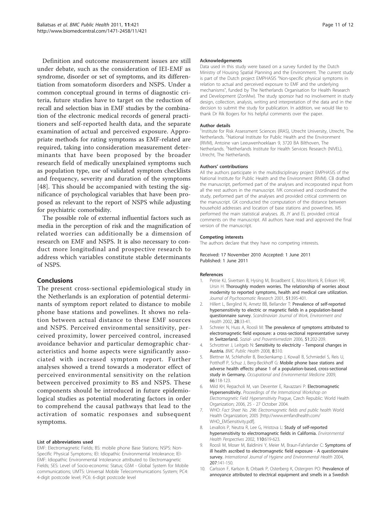<span id="page-10-0"></span>Definition and outcome measurement issues are still under debate, such as the consideration of IEI-EMF as syndrome, disorder or set of symptoms, and its differentiation from somatoform disorders and NSPS. Under a common conceptual ground in terms of diagnostic criteria, future studies have to target on the reduction of recall and selection bias in EMF studies by the combination of the electronic medical records of general practitioners and self-reported health data, and the separate examination of actual and perceived exposure. Appropriate methods for rating symptoms as EMF-related are required, taking into consideration measurement determinants that have been proposed by the broader research field of medically unexplained symptoms such as population type, use of validated symptom checklists and frequency, severity and duration of the symptoms [[48](#page-11-0)]. This should be accompanied with testing the significance of psychological variables that have been proposed as relevant to the report of NSPS while adjusting for psychiatric comorbidity.

The possible role of external influential factors such as media in the perception of risk and the magnification of related worries can additionally be a dimension of research on EMF and NSPS. It is also necessary to conduct more longitudinal and prospective research to address which variables constitute stable determinants of NSPS.

# Conclusions

The present cross-sectional epidemiological study in the Netherlands is an exploration of potential determinants of symptom report related to distance to mobile phone base stations and powelines. It shows no relation between actual distance to these EMF sources and NSPS. Perceived environmental sensitivity, perceived proximity, lower perceived control, increased avoidance behavior and particular demographic characteristics and home aspects were significantly associated with increased symptom report. Further analyses showed a trend towards a moderator effect of perceived environmental sensitivity on the relation between perceived proximity to BS and NSPS. These components should be introduced in future epidemiological studies as potential moderating factors in order to comprehend the causal pathways that lead to the activation of somatic responses and subsequent symptoms.

#### List of abbreviations used

EMF: Electromagnetic Fields; BS: mobile phone Base Stations; NSPS: Non-Specific Physical Symptoms; IEI: Idiopathic Environmental Intolerance; IEI-EMF: Idiopathic Environmental Intolerance attributed to Electromagnetic Fields; SES: Level of Socio-economic Status; GSM - Global System for Mobile communications; UMTS: Universal Mobile Telecommunications System; PC4: 4-digit postcode level; PC6: 6-digit postcode level

#### Acknowledgements

Data used in this study were based on a survey funded by the Dutch Ministry of Housing Spatial Planning and the Environment. The current study is part of the Dutch project EMPHASIS "Non-specific physical symptoms in relation to actual and perceived exposure to EMF and the underlying mechanisms", funded by The Netherlands Organisation for Health Research and Development (ZonMw). The study sponsor had no involvement in study design, collection, analysis, writing and interpretation of the data and in the decision to submit the study for publication. In addition, we would like to thank Dr Rik Bogers for his helpful comments over the paper.

#### Author details

<sup>1</sup>Institute for Risk Assessment Sciences (IRAS), Utrecht University, Utrecht, The Netherlands. <sup>2</sup>National Institute for Public Health and the Environment (RIVM), Antoine van Leeuwenhoeklaan 9, 3720 BA Bilthoven, The Netherlands. <sup>3</sup>Netherlands Institute for Health Services Research (NIVEL) Utrecht, The Netherlands.

#### Authors' contributions

All the authors participate in the multidisciplinary project EMPHASIS of the National Institute for Public Health and the Environment (RIVM). CB drafted the manuscript, performed part of the analyses and incorporated input from all the rest authors in the manuscript. IVK conceived and coordinated the study, performed part of the analyses and provided critical comments on the manuscript. GK conducted the computation of the distance between household addresses and location of base stations and powerlines. MS performed the main statistical analyses. JB, JY and EL provided critical comments on the manuscript. All authors have read and approved the final version of the manuscript.

#### Competing interests

The authors declare that they have no competing interests.

Received: 17 November 2010 Accepted: 1 June 2011 Published: 1 June 2011

#### References

- Petrie KJ, Sivertsen B, Hysing M, Broadbent E, Moss-Morris R, Eriksen HR, Ursin H: [Thoroughly modern worries. The relationship of worries about](http://www.ncbi.nlm.nih.gov/pubmed/11448708?dopt=Abstract) [modernity to reported symptoms, health and medical care utilization.](http://www.ncbi.nlm.nih.gov/pubmed/11448708?dopt=Abstract) Journal of Psychosomatic Research 2001, 51:395-401.
- 2. Hillert L, Berglind N, Arnetz BB, Bellander T: [Prevalence of self-reported](http://www.ncbi.nlm.nih.gov/pubmed/11871850?dopt=Abstract) [hypersensitivity to electric or magnetic fields in a population-based](http://www.ncbi.nlm.nih.gov/pubmed/11871850?dopt=Abstract) [questionnaire survey.](http://www.ncbi.nlm.nih.gov/pubmed/11871850?dopt=Abstract) Scandinavian Journal of Work, Environment and Health 2002, 28:33-41.
- 3. Schreier N, Huss A, Roosli M: [The prevalence of symptoms attributed to](http://www.ncbi.nlm.nih.gov/pubmed/17193782?dopt=Abstract) [electromagnetic field exposure: a cross-sectional representative survey](http://www.ncbi.nlm.nih.gov/pubmed/17193782?dopt=Abstract) [in Switzerland.](http://www.ncbi.nlm.nih.gov/pubmed/17193782?dopt=Abstract) Sozial- und Praventivmedizin 2006, 51:202-209.
- 4. Schrottner J, Leitgeb N: [Sensitivity to electricity Temporal changes in](http://www.ncbi.nlm.nih.gov/pubmed/18789137?dopt=Abstract) [Austria.](http://www.ncbi.nlm.nih.gov/pubmed/18789137?dopt=Abstract) BMC Public Health 2008, 8:310.
- 5. Blettner M, Schlehofer B, Breckenkamp J, Kowall B, Schmiedel S, Reis U, Potthoff P, Schuz J, Berg-Beckhoff G: [Mobile phone base stations and](http://www.ncbi.nlm.nih.gov/pubmed/19017702?dopt=Abstract) [adverse health effects: phase 1 of a population-based, cross-sectional](http://www.ncbi.nlm.nih.gov/pubmed/19017702?dopt=Abstract) [study in Germany.](http://www.ncbi.nlm.nih.gov/pubmed/19017702?dopt=Abstract) Occupational and Environmental Medicine 2009, 66:118-123.
- 6. Mild KH, Repacholi M, van Deventer E, Ravazzani P: Electromagnetic Hypersensitivity. Proceedings of the International Workshop on Electromagnetic Field Hypersensitivity Prague, Czech Republic: World Health Organization; 2006, 25 - 27 October 2004.
- 7. WHO: Fact Sheet No. 296: Electromagnetic fields and public health World Health Organization; 2005 [[http://www.emfandhealth.com/](http://www.emfandhealth.com/WHO_EMSensitivity.pdf) [WHO\\_EMSensitivity.pdf\]](http://www.emfandhealth.com/WHO_EMSensitivity.pdf).
- 8. Levallois P, Neutra R, Lee G, Hristova L: [Study of self-reported](http://www.ncbi.nlm.nih.gov/pubmed/12194896?dopt=Abstract) [hypersensitivity to electromagnetic fields in California.](http://www.ncbi.nlm.nih.gov/pubmed/12194896?dopt=Abstract) Environmental Health Perspectives 2002, 110:619-623.
- 9. Roosli M, Moser M, Baldinini Y, Meier M, Braun-Fahrlander C: [Symptoms of](http://www.ncbi.nlm.nih.gov/pubmed/15031956?dopt=Abstract) [ill health ascribed to electromagnetic field exposure - A questionnaire](http://www.ncbi.nlm.nih.gov/pubmed/15031956?dopt=Abstract) [survey.](http://www.ncbi.nlm.nih.gov/pubmed/15031956?dopt=Abstract) International Journal of Hygiene and Environmental Health 2004, 207:141-150.
- Carlsson F, Karlson B, Orbaek P, Osterberg K, Ostergren PO: [Prevalence of](http://www.ncbi.nlm.nih.gov/pubmed/15925670?dopt=Abstract) [annoyance attributed to electrical equipment and smells in a Swedish](http://www.ncbi.nlm.nih.gov/pubmed/15925670?dopt=Abstract)